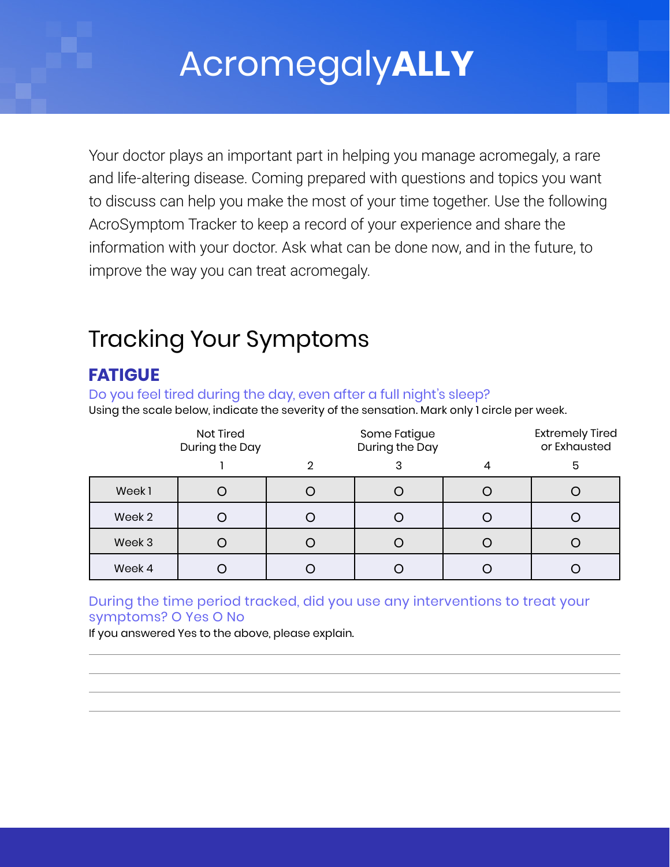# Acromegaly**ALLY**

Your doctor plays an important part in helping you manage acromegaly, a rare and life-altering disease. Coming prepared with questions and topics you want to discuss can help you make the most of your time together. Use the following AcroSymptom Tracker to keep a record of your experience and share the information with your doctor. Ask what can be done now, and in the future, to improve the way you can treat acromegaly.

## Tracking Your Symptoms

## **FATIGUE**

Do you feel tired during the day, even after a full night's sleep? Using the scale below, indicate the severity of the sensation. Mark only 1 circle per week.

|        | Not Tired<br>During the Day |   | Some Fatigue<br>During the Day | <b>Extremely Tired</b><br>or Exhausted |
|--------|-----------------------------|---|--------------------------------|----------------------------------------|
|        |                             | ∩ |                                | 5                                      |
| Week1  |                             |   |                                |                                        |
| Week 2 |                             |   |                                |                                        |
| Week 3 |                             |   |                                |                                        |
| Week 4 |                             |   |                                |                                        |

#### During the time period tracked, did you use any interventions to treat your symptoms? O Yes O No

If you answered Yes to the above, please explain.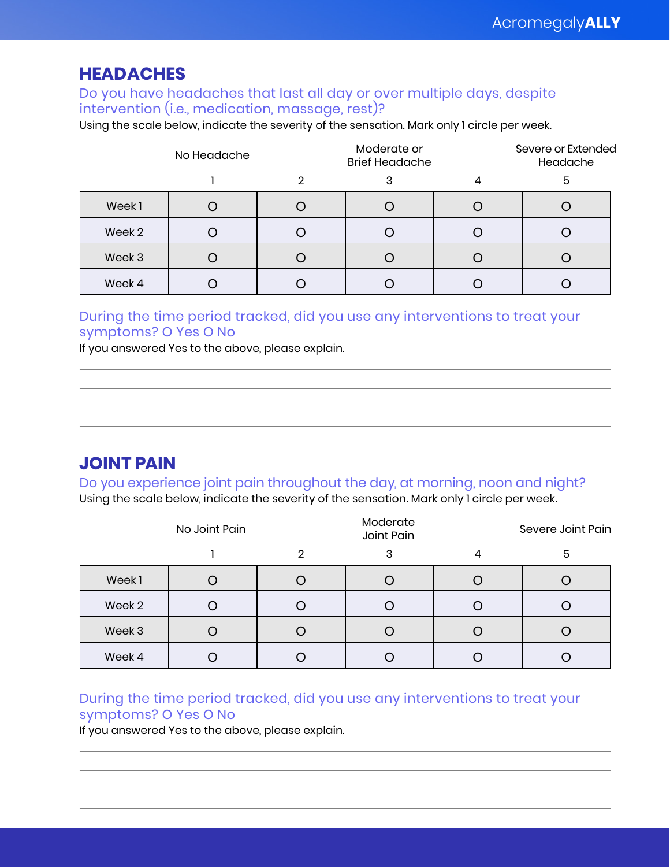### **HEADACHES**

#### Do you have headaches that last all day or over multiple days, despite intervention (i.e., medication, massage, rest)?

Using the scale below, indicate the severity of the sensation. Mark only 1 circle per week.

|        | No Headache |   | Moderate or<br><b>Brief Headache</b> |  | Severe or Extended<br>Headache |  |
|--------|-------------|---|--------------------------------------|--|--------------------------------|--|
|        |             | ŋ |                                      |  | 5                              |  |
| Week1  |             |   |                                      |  |                                |  |
| Week 2 |             |   |                                      |  |                                |  |
| Week 3 |             |   |                                      |  |                                |  |
| Week 4 |             |   |                                      |  |                                |  |

#### During the time period tracked, did you use any interventions to treat your symptoms? O Yes O No

If you answered Yes to the above, please explain.

## **JOINT PAIN**

Do you experience joint pain throughout the day, at morning, noon and night?

|        | Using the scale below, indicate the severity of the sensation. Mark only 1 circle per week. |  |                        |                   |  |
|--------|---------------------------------------------------------------------------------------------|--|------------------------|-------------------|--|
|        | No Joint Pain                                                                               |  | Moderate<br>Joint Pain | Severe Joint Pain |  |
|        |                                                                                             |  |                        | 5                 |  |
| Week1  |                                                                                             |  |                        |                   |  |
| Week 2 |                                                                                             |  |                        |                   |  |
| Week 3 |                                                                                             |  |                        |                   |  |
|        |                                                                                             |  |                        |                   |  |

#### During the time period tracked, did you use any interventions to treat your symptoms? O Yes O No

Week 4 | O | O | O | O | O

If you answered Yes to the above, please explain.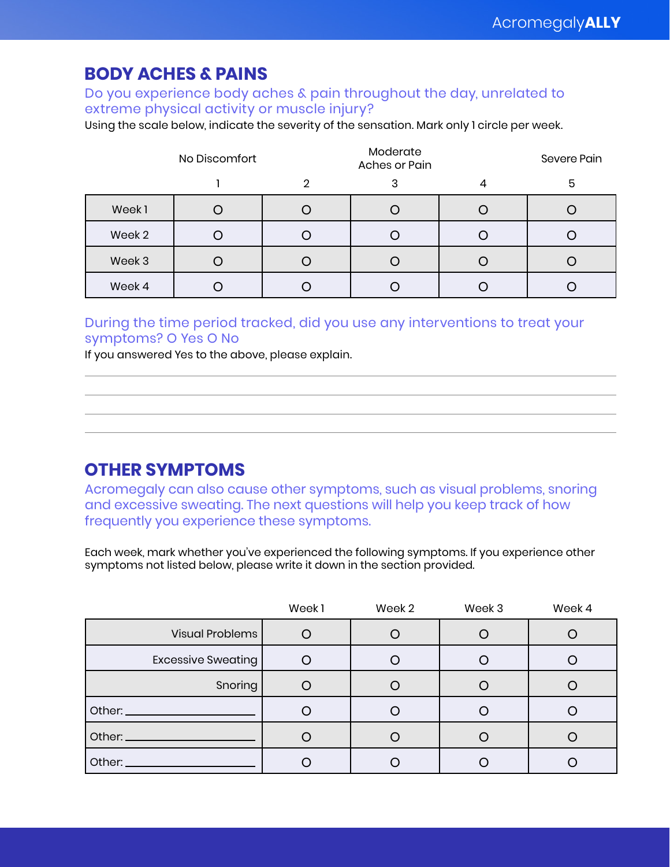## **BODY ACHES & PAINS**

Do you experience body aches & pain throughout the day, unrelated to extreme physical activity or muscle injury?

Using the scale below, indicate the severity of the sensation. Mark only 1 circle per week.

|        | No Discomfort |   | Moderate<br>Aches or Pain |  | Severe Pain |
|--------|---------------|---|---------------------------|--|-------------|
|        |               | 2 |                           |  | 5           |
| Week1  |               |   |                           |  |             |
| Week 2 |               |   |                           |  |             |
| Week 3 |               |   |                           |  |             |
| Week 4 |               |   |                           |  |             |

#### During the time period tracked, did you use any interventions to treat your symptoms? O Yes O No

If you answered Yes to the above, please explain.

### **OTHER SYMPTOMS**

Acromegaly can also cause other symptoms, such as visual problems, snoring and excessive sweating. The next questions will help you keep track of how frequently you experience these symptoms.

Each week, mark whether you've experienced the following symptoms. If you experience other symptoms not listed below, please write it down in the section provided.

|                                 | Week1 | Week 2 | Week 3 | Week 4 |
|---------------------------------|-------|--------|--------|--------|
| Visual Problems                 |       |        |        |        |
| <b>Excessive Sweating</b>       |       |        |        |        |
| Snoring                         |       |        |        |        |
|                                 |       |        |        |        |
| Other: ________________________ |       |        |        |        |
| Other: _____________________    |       |        |        |        |